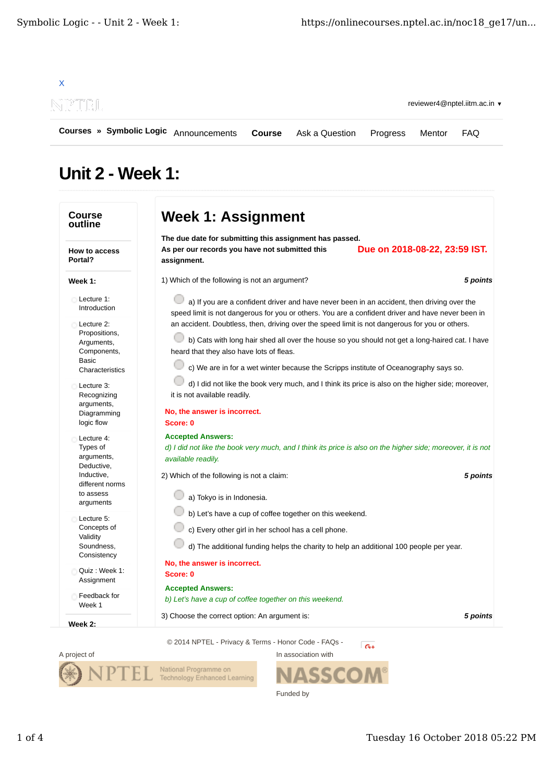

## **Unit 2 - Week 1:**

| <b>Course</b><br>outline                                                                    | <b>Week 1: Assignment</b>                                                                                                                                                                                                                                                                                                            |                               |  |
|---------------------------------------------------------------------------------------------|--------------------------------------------------------------------------------------------------------------------------------------------------------------------------------------------------------------------------------------------------------------------------------------------------------------------------------------|-------------------------------|--|
| <b>How to access</b><br>Portal?                                                             | The due date for submitting this assignment has passed.<br>As per our records you have not submitted this<br>assignment.                                                                                                                                                                                                             | Due on 2018-08-22, 23:59 IST. |  |
| Week 1:                                                                                     | 1) Which of the following is not an argument?                                                                                                                                                                                                                                                                                        | 5 points                      |  |
| Lecture 1:<br>Introduction                                                                  | a) If you are a confident driver and have never been in an accident, then driving over the<br>speed limit is not dangerous for you or others. You are a confident driver and have never been in                                                                                                                                      |                               |  |
| Lecture 2:<br>Propositions,<br>Arguments,<br>Components,<br><b>Basic</b><br>Characteristics | an accident. Doubtless, then, driving over the speed limit is not dangerous for you or others.<br>b) Cats with long hair shed all over the house so you should not get a long-haired cat. I have<br>heard that they also have lots of fleas.<br>c) We are in for a wet winter because the Scripps institute of Oceanography says so. |                               |  |
| Lecture 3:<br>Recognizing<br>arguments,<br>Diagramming<br>logic flow                        | d) I did not like the book very much, and I think its price is also on the higher side; moreover,<br>it is not available readily.<br>No, the answer is incorrect.<br>Score: 0                                                                                                                                                        |                               |  |
| Lecture 4:<br>Types of<br>arguments,<br>Deductive,<br>Inductive,<br>different norms         | <b>Accepted Answers:</b><br>d) I did not like the book very much, and I think its price is also on the higher side; moreover, it is not<br>available readily.<br>2) Which of the following is not a claim:                                                                                                                           | 5 points                      |  |
| to assess<br>arguments                                                                      | a) Tokyo is in Indonesia.                                                                                                                                                                                                                                                                                                            |                               |  |
| Lecture 5:<br>Concepts of<br>Validity<br>Soundness,<br>Consistency                          | b) Let's have a cup of coffee together on this weekend.<br>c) Every other girl in her school has a cell phone.<br>d) The additional funding helps the charity to help an additional 100 people per year.                                                                                                                             |                               |  |
| Quiz: Week 1:<br>Assignment                                                                 | No, the answer is incorrect.<br>Score: 0                                                                                                                                                                                                                                                                                             |                               |  |
| Feedback for<br>Week 1                                                                      | <b>Accepted Answers:</b><br>b) Let's have a cup of coffee together on this weekend.                                                                                                                                                                                                                                                  |                               |  |
| Week 2:                                                                                     | 3) Choose the correct option: An argument is:                                                                                                                                                                                                                                                                                        | 5 points                      |  |

A project of

**ASSCOM®** 

National Programme on<br>Technology Enhanced Learning

In association with

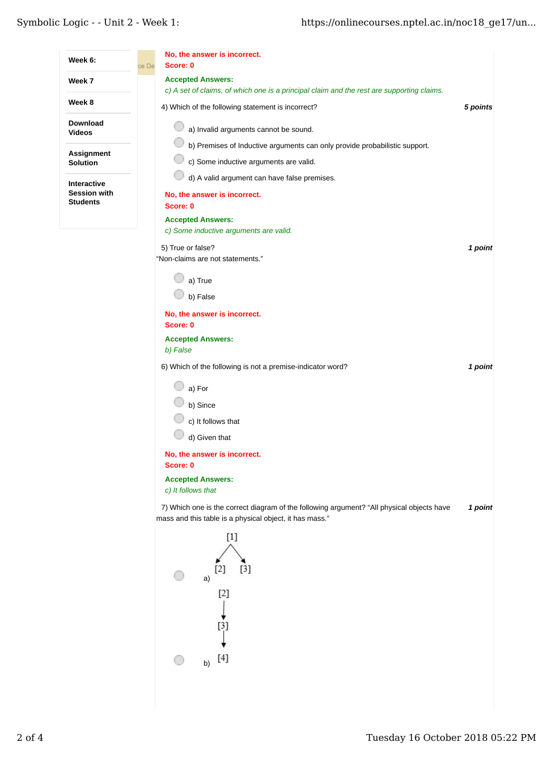| Week 6:                            | No, the answer is incorrect.<br>Score: 0<br>ce De                                                                                                    |          |
|------------------------------------|------------------------------------------------------------------------------------------------------------------------------------------------------|----------|
| Week 7                             | <b>Accepted Answers:</b><br>c) A set of claims, of which one is a principal claim and the rest are supporting claims.                                |          |
| Week 8                             | 4) Which of the following statement is incorrect?                                                                                                    | 5 points |
| <b>Download</b><br>Videos          | a) Invalid arguments cannot be sound.                                                                                                                |          |
| Assignment<br>Solution             | b) Premises of Inductive arguments can only provide probabilistic support.<br>c) Some inductive arguments are valid.                                 |          |
| Interactive<br><b>Session with</b> | d) A valid argument can have false premises.<br>No, the answer is incorrect.                                                                         |          |
| <b>Students</b>                    | Score: 0                                                                                                                                             |          |
|                                    | <b>Accepted Answers:</b><br>c) Some inductive arguments are valid.                                                                                   |          |
|                                    | 5) True or false?<br>"Non-claims are not statements."                                                                                                | 1 point  |
|                                    | a) True                                                                                                                                              |          |
|                                    | b) False                                                                                                                                             |          |
|                                    | No, the answer is incorrect.<br>Score: 0                                                                                                             |          |
|                                    | <b>Accepted Answers:</b>                                                                                                                             |          |
|                                    | b) False                                                                                                                                             |          |
|                                    | 6) Which of the following is not a premise-indicator word?                                                                                           | 1 point  |
|                                    | a) For                                                                                                                                               |          |
|                                    | b) Since                                                                                                                                             |          |
|                                    | c) It follows that                                                                                                                                   |          |
|                                    | d) Given that                                                                                                                                        |          |
|                                    | No, the answer is incorrect.<br>Score: 0                                                                                                             |          |
|                                    | <b>Accepted Answers:</b><br>c) It follows that                                                                                                       |          |
|                                    | 7) Which one is the correct diagram of the following argument? "All physical objects have<br>mass and this table is a physical object, it has mass." | 1 point  |
|                                    | $[1]$<br>$[3]$<br>[2]<br>a)<br>$[2]$<br>$[3]$                                                                                                        |          |
|                                    | $[4]$<br>b)                                                                                                                                          |          |